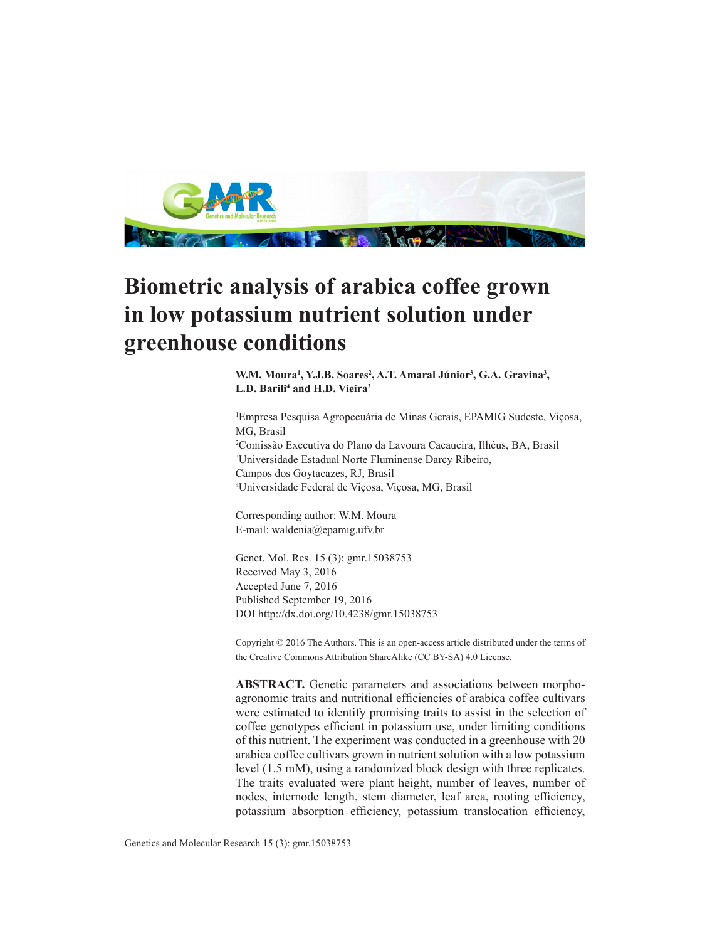

# **Biometric analysis of arabica coffee grown in low potassium nutrient solution under greenhouse conditions**

W.M. Moura<sup>1</sup>, Y.J.B. Soares<sup>2</sup>, A.T. Amaral Júnior<sup>3</sup>, G.A. Gravina<sup>3</sup>, **L.D. Barili4 and H.D. Vieira3**

 Empresa Pesquisa Agropecuária de Minas Gerais, EPAMIG Sudeste, Viçosa, MG, Brasil Comissão Executiva do Plano da Lavoura Cacaueira, Ilhéus, BA, Brasil Universidade Estadual Norte Fluminense Darcy Ribeiro, Campos dos Goytacazes, RJ, Brasil Universidade Federal de Viçosa, Viçosa, MG, Brasil

Corresponding author: W.M. Moura E-mail: waldenia@epamig.ufv.br

Genet. Mol. Res. 15 (3): gmr.15038753 Received May 3, 2016 Accepted June 7, 2016 Published September 19, 2016 DOI http://dx.doi.org/10.4238/gmr.15038753

Copyright © 2016 The Authors. This is an open-access article distributed under the terms of the Creative Commons Attribution ShareAlike (CC BY-SA) 4.0 License.

**ABSTRACT.** Genetic parameters and associations between morphoagronomic traits and nutritional efficiencies of arabica coffee cultivars were estimated to identify promising traits to assist in the selection of coffee genotypes efficient in potassium use, under limiting conditions of this nutrient. The experiment was conducted in a greenhouse with 20 arabica coffee cultivars grown in nutrient solution with a low potassium level (1.5 mM), using a randomized block design with three replicates. The traits evaluated were plant height, number of leaves, number of nodes, internode length, stem diameter, leaf area, rooting efficiency, potassium absorption efficiency, potassium translocation efficiency,

Genetics and Molecular Research 15 (3): gmr.15038753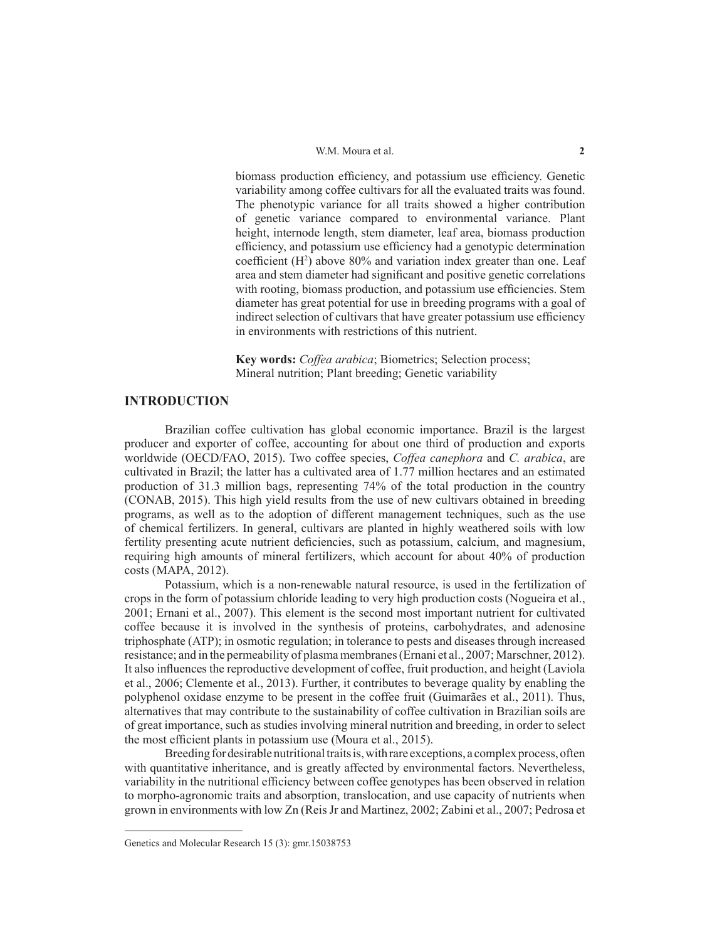biomass production efficiency, and potassium use efficiency. Genetic variability among coffee cultivars for all the evaluated traits was found. The phenotypic variance for all traits showed a higher contribution of genetic variance compared to environmental variance. Plant height, internode length, stem diameter, leaf area, biomass production efficiency, and potassium use efficiency had a genotypic determination coefficient  $(H<sup>2</sup>)$  above 80% and variation index greater than one. Leaf area and stem diameter had significant and positive genetic correlations with rooting, biomass production, and potassium use efficiencies. Stem diameter has great potential for use in breeding programs with a goal of indirect selection of cultivars that have greater potassium use efficiency in environments with restrictions of this nutrient.

**Key words:** *Coffea arabica*; Biometrics; Selection process; Mineral nutrition; Plant breeding; Genetic variability

# **INTRODUCTION**

Brazilian coffee cultivation has global economic importance. Brazil is the largest producer and exporter of coffee, accounting for about one third of production and exports worldwide (OECD/FAO, 2015). Two coffee species, *Coffea canephora* and *C. arabica*, are cultivated in Brazil; the latter has a cultivated area of 1.77 million hectares and an estimated production of 31.3 million bags, representing 74% of the total production in the country (CONAB, 2015). This high yield results from the use of new cultivars obtained in breeding programs, as well as to the adoption of different management techniques, such as the use of chemical fertilizers. In general, cultivars are planted in highly weathered soils with low fertility presenting acute nutrient deficiencies, such as potassium, calcium, and magnesium, requiring high amounts of mineral fertilizers, which account for about 40% of production costs (MAPA, 2012).

Potassium, which is a non-renewable natural resource, is used in the fertilization of crops in the form of potassium chloride leading to very high production costs (Nogueira et al., 2001; Ernani et al., 2007). This element is the second most important nutrient for cultivated coffee because it is involved in the synthesis of proteins, carbohydrates, and adenosine triphosphate (ATP); in osmotic regulation; in tolerance to pests and diseases through increased resistance; and in the permeability of plasma membranes (Ernani et al., 2007; Marschner, 2012). It also influences the reproductive development of coffee, fruit production, and height (Laviola et al., 2006; Clemente et al., 2013). Further, it contributes to beverage quality by enabling the polyphenol oxidase enzyme to be present in the coffee fruit (Guimarães et al., 2011). Thus, alternatives that may contribute to the sustainability of coffee cultivation in Brazilian soils are of great importance, such as studies involving mineral nutrition and breeding, in order to select the most efficient plants in potassium use (Moura et al., 2015).

Breeding for desirable nutritional traits is, with rare exceptions, a complex process, often with quantitative inheritance, and is greatly affected by environmental factors. Nevertheless, variability in the nutritional efficiency between coffee genotypes has been observed in relation to morpho-agronomic traits and absorption, translocation, and use capacity of nutrients when grown in environments with low Zn (Reis Jr and Martinez, 2002; Zabini et al., 2007; Pedrosa et

Genetics and Molecular Research 15 (3): gmr.15038753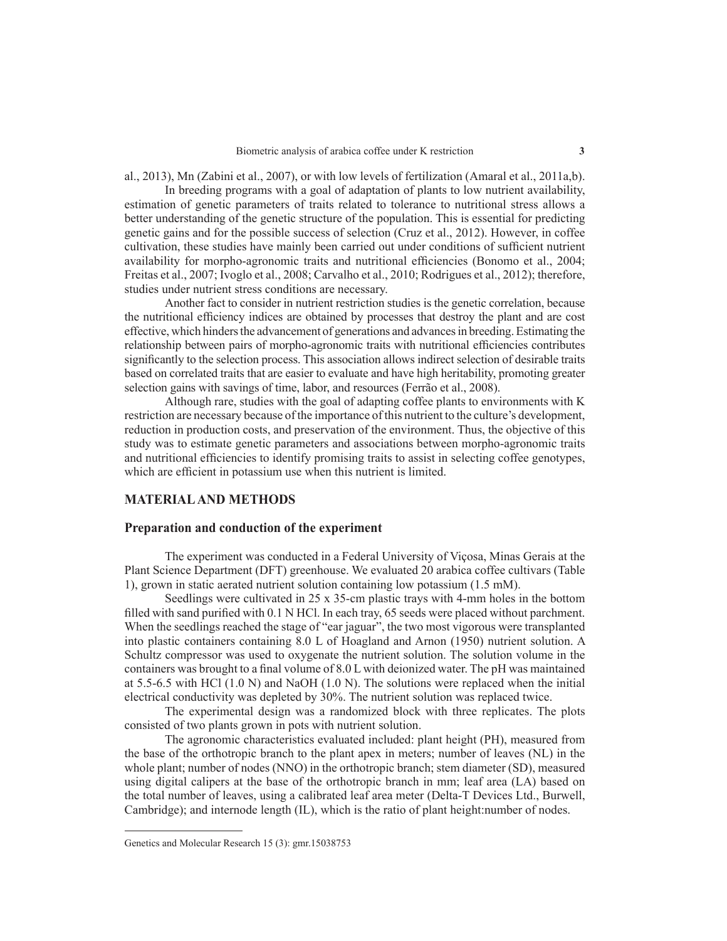al., 2013), Mn (Zabini et al., 2007), or with low levels of fertilization (Amaral et al., 2011a,b).

In breeding programs with a goal of adaptation of plants to low nutrient availability, estimation of genetic parameters of traits related to tolerance to nutritional stress allows a better understanding of the genetic structure of the population. This is essential for predicting genetic gains and for the possible success of selection (Cruz et al., 2012). However, in coffee cultivation, these studies have mainly been carried out under conditions of sufficient nutrient availability for morpho-agronomic traits and nutritional efficiencies (Bonomo et al., 2004; Freitas et al., 2007; Ivoglo et al., 2008; Carvalho et al., 2010; Rodrigues et al., 2012); therefore, studies under nutrient stress conditions are necessary.

Another fact to consider in nutrient restriction studies is the genetic correlation, because the nutritional efficiency indices are obtained by processes that destroy the plant and are cost effective, which hinders the advancement of generations and advances in breeding. Estimating the relationship between pairs of morpho-agronomic traits with nutritional efficiencies contributes significantly to the selection process. This association allows indirect selection of desirable traits based on correlated traits that are easier to evaluate and have high heritability, promoting greater selection gains with savings of time, labor, and resources (Ferrão et al., 2008).

Although rare, studies with the goal of adapting coffee plants to environments with K restriction are necessary because of the importance of this nutrient to the culture's development, reduction in production costs, and preservation of the environment. Thus, the objective of this study was to estimate genetic parameters and associations between morpho-agronomic traits and nutritional efficiencies to identify promising traits to assist in selecting coffee genotypes, which are efficient in potassium use when this nutrient is limited.

# **MATERIAL AND METHODS**

### **Preparation and conduction of the experiment**

The experiment was conducted in a Federal University of Viçosa, Minas Gerais at the Plant Science Department (DFT) greenhouse. We evaluated 20 arabica coffee cultivars (Table 1), grown in static aerated nutrient solution containing low potassium (1.5 mM).

Seedlings were cultivated in 25 x 35-cm plastic trays with 4-mm holes in the bottom filled with sand purified with 0.1 N HCl. In each tray, 65 seeds were placed without parchment. When the seedlings reached the stage of "ear jaguar", the two most vigorous were transplanted into plastic containers containing 8.0 L of Hoagland and Arnon (1950) nutrient solution. A Schultz compressor was used to oxygenate the nutrient solution. The solution volume in the containers was brought to a final volume of 8.0 L with deionized water. The pH was maintained at 5.5-6.5 with HCl (1.0 N) and NaOH (1.0 N). The solutions were replaced when the initial electrical conductivity was depleted by 30%. The nutrient solution was replaced twice.

The experimental design was a randomized block with three replicates. The plots consisted of two plants grown in pots with nutrient solution.

The agronomic characteristics evaluated included: plant height (PH), measured from the base of the orthotropic branch to the plant apex in meters; number of leaves (NL) in the whole plant; number of nodes (NNO) in the orthotropic branch; stem diameter (SD), measured using digital calipers at the base of the orthotropic branch in mm; leaf area (LA) based on the total number of leaves, using a calibrated leaf area meter (Delta-T Devices Ltd., Burwell, Cambridge); and internode length (IL), which is the ratio of plant height:number of nodes.

Genetics and Molecular Research 15 (3): gmr.15038753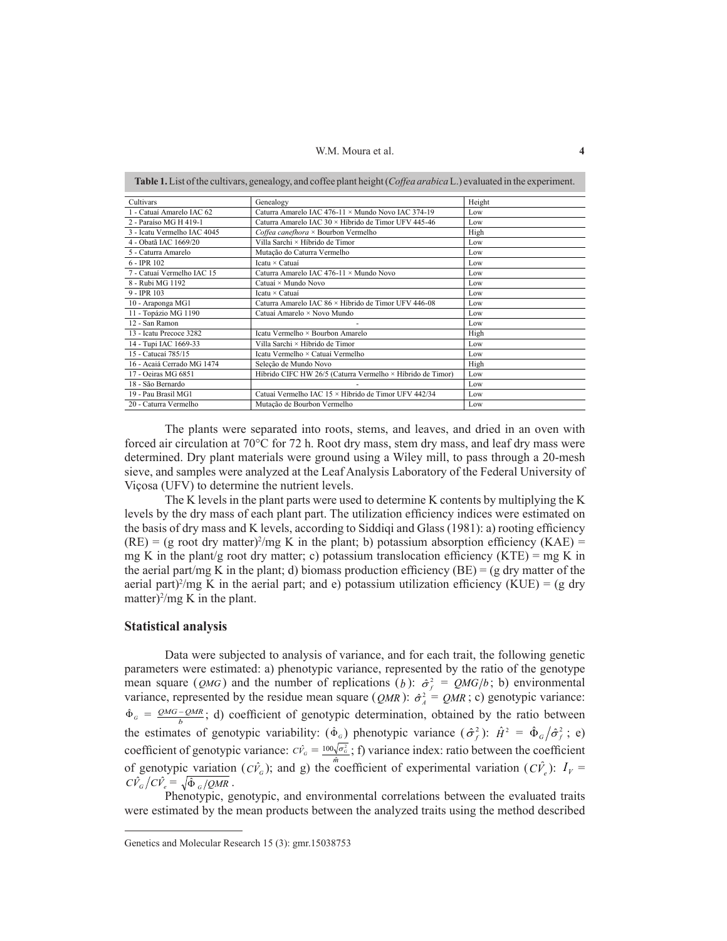W.M. Moura et al. **4** 

|                             | <b>Table 1.</b> List of the cultivars, genealogy, and coffee plant height ( <i>Coffee arabica</i> L.) evaluated in the experiment. |        |
|-----------------------------|------------------------------------------------------------------------------------------------------------------------------------|--------|
| Cultivars                   | Genealogy                                                                                                                          | Height |
| 1 - Catuaí Amarelo IAC 62   | Caturra Amarelo IAC 476-11 × Mundo Novo IAC 374-19                                                                                 | Low    |
| 2 - Paraíso MG H 419-1      | Caturra Amarelo IAC 30 × Híbrido de Timor UFV 445-46                                                                               | Low    |
| 3 - Icatu Vermelho IAC 4045 | Coffea canefhora $\times$ Bourbon Vermelho                                                                                         | High   |
| 4 - Obatã IAC 1669/20       | Villa Sarchi × Híbrido de Timor                                                                                                    | Low    |
| 5 - Caturra Amarelo         | Mutação do Caturra Vermelho                                                                                                        | Low    |
| $6 - IPR$ 102               | Icatu × Catuaí                                                                                                                     | Low    |
| 7 - Catuaí Vermelho IAC 15  | Caturra Amarelo IAC 476-11 × Mundo Novo                                                                                            | Low    |
| 8 - Rubi MG 1192            | Catuaí × Mundo Novo                                                                                                                | Low    |
| 9 - IPR 103                 | Icatu × Catuaí                                                                                                                     | Low    |
| 10 - Araponga MG1           | Caturra Amarelo IAC 86 × Híbrido de Timor UFV 446-08                                                                               | Low    |
| 11 - Topázio MG 1190        | Catuaí Amarelo × Novo Mundo                                                                                                        | Low    |
| 12 - San Ramon              |                                                                                                                                    | Low    |
| 13 - Icatu Precoce 3282     | Icatu Vermelho × Bourbon Amarelo                                                                                                   | High   |
| 14 - Tupi IAC 1669-33       | Villa Sarchi × Híbrido de Timor                                                                                                    | Low    |
| 15 - Catucaí 785/15         | Icatu Vermelho × Catuaí Vermelho                                                                                                   | Low    |
| 16 - Acaiá Cerrado MG 1474  | Seleção de Mundo Novo                                                                                                              | High   |
| 17 - Oeiras MG 6851         | Híbrido CIFC HW 26/5 (Caturra Vermelho × Híbrido de Timor)                                                                         | Low    |
| 18 - São Bernardo           |                                                                                                                                    | Low    |
| 19 - Pau Brasil MG1         | Catuaí Vermelho IAC 15 × Híbrido de Timor UFV 442/34                                                                               | Low    |
| 20 - Caturra Vermelho       | Mutação de Bourbon Vermelho                                                                                                        | Low    |

The plants were separated into roots, stems, and leaves, and dried in an oven with forced air circulation at 70°C for 72 h. Root dry mass, stem dry mass, and leaf dry mass were determined. Dry plant materials were ground using a Wiley mill, to pass through a 20-mesh sieve, and samples were analyzed at the Leaf Analysis Laboratory of the Federal University of Viçosa (UFV) to determine the nutrient levels.

The K levels in the plant parts were used to determine K contents by multiplying the K levels by the dry mass of each plant part. The utilization efficiency indices were estimated on the basis of dry mass and K levels, according to Siddiqi and Glass (1981): a) rooting efficiency  $(RE) = (g \text{ root dry matter})^2/mg K$  in the plant; b) potassium absorption efficiency  $(KAE) =$ mg K in the plant/g root dry matter; c) potassium translocation efficiency (KTE) = mg K in the aerial part/mg K in the plant; d) biomass production efficiency (BE) = (g dry matter of the aerial part)<sup>2</sup>/mg K in the aerial part; and e) potassium utilization efficiency (KUE) = (g dry matter) $\frac{2}{mg}$  K in the plant.

### **Statistical analysis**

Data were subjected to analysis of variance, and for each trait, the following genetic parameters were estimated: a) phenotypic variance, represented by the ratio of the genotype mean square (*QMG*) and the number of replications (*b*):  $\hat{\sigma}_{f}^{2} = QMG/b$ ; b) environmental variance, represented by the residue mean square (*QMR*):  $\hat{\sigma}_A^2 = QMR$ ; c) genotypic variance:  $\hat{\Phi}_G = \frac{QMG - QMR}{b}$ ; d) coefficient of genotypic determination, obtained by the ratio between the estimates of genotypic variability:  $(\hat{\Phi}_G)$  phenotypic variance  $(\hat{\sigma}_f^2)$ :  $\hat{H}^2 = \hat{\Phi}_G / \hat{\sigma}_f^2$ ; e) coefficient of genotypic variance:  $C\hat{V}_G = \frac{100\sqrt{\sigma_G^2}}{\hat{m}}$ ; f) variance index: ratio between the coefficient of genotypic variation  $(C\hat{V}_c)$ ; and g) the "coefficient of experimental variation  $(C\hat{V}_e)$ :  $I_V =$  $C\hat{V}_G/C\hat{V}_e = \sqrt{\hat{\Phi}_G/QMR}$ .

Phenotypic, genotypic, and environmental correlations between the evaluated traits were estimated by the mean products between the analyzed traits using the method described

Genetics and Molecular Research 15 (3): gmr.15038753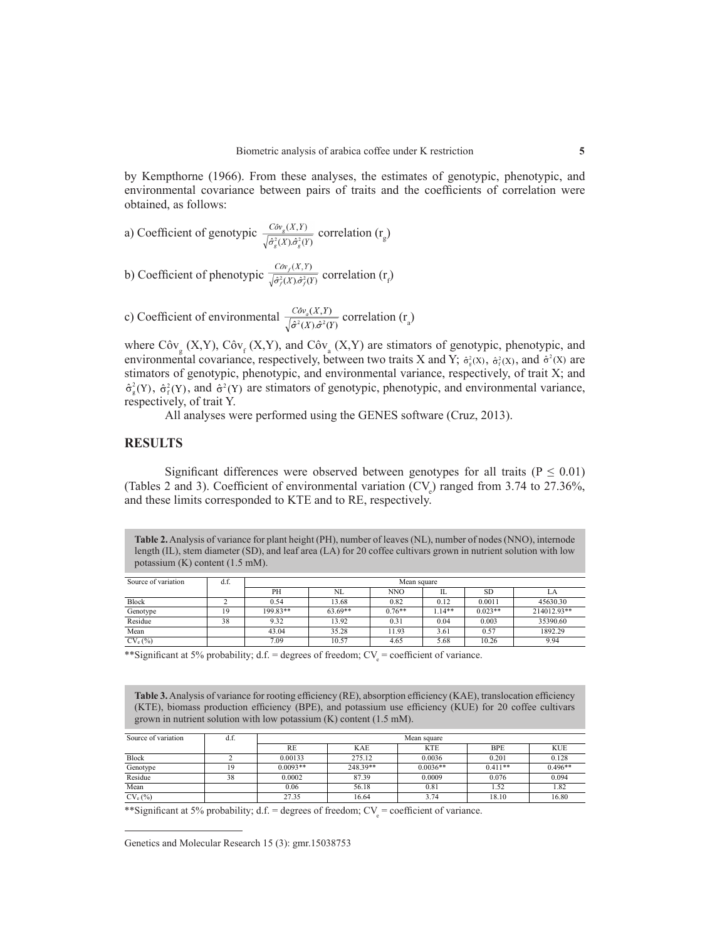by Kempthorne (1966). From these analyses, the estimates of genotypic, phenotypic, and environmental covariance between pairs of traits and the coefficients of correlation were obtained, as follows:

a) Coefficient of genotype 
$$
\frac{Cov_g(X,Y)}{\sqrt{\hat{\sigma}_g^2(X) \hat{\sigma}_g^2(Y)}}
$$
 correlation  $(r_g)$ 

b) Coefficient of phenotypic 
$$
\frac{Cov_f(X,Y)}{\sqrt{\hat{\sigma}_f^2(X)\hat{\sigma}_f^2(Y)}}
$$
 correlation  $(r_f)$ 

c) Coefficient of environmental  $\frac{Cov_a(X,Y)}{\sqrt{\hat{\sigma}^2(Y)\hat{\sigma}^2(Y)}}$  correlation  $(\mathbf{r}_a)$ 

where  $Cov_g(X, Y)$ ,  $Cov_f(X, Y)$ , and  $Cov_g(X, Y)$  are stimators of genotypic, phenotypic, and environmental covariance, respectively, between two traits X and Y;  $\hat{\sigma}_{s}^{2}(X)$ ,  $\hat{\sigma}_{s}^{2}(X)$ , and  $\hat{\sigma}^{2}(X)$  are stimators of genotypic, phenotypic, and environmental variance, respectively, of trait X; and  $\hat{\sigma}_{s}^{2}(Y)$ ,  $\hat{\sigma}_{s}^{2}(Y)$ , and  $\hat{\sigma}^{2}(Y)$  are stimators of genotypic, phenotypic, and environmental variance, respectively, of trait Y.

All analyses were performed using the GENES software (Cruz, 2013).

## **RESULTS**

Significant differences were observed between genotypes for all traits ( $P \le 0.01$ ) (Tables 2 and 3). Coefficient of environmental variation  $(CV_e)$  ranged from 3.74 to 27.36%, and these limits corresponded to KTE and to RE, respectively.

**Table 2.** Analysis of variance for plant height (PH), number of leaves (NL), number of nodes (NNO), internode length (IL), stem diameter (SD), and leaf area (LA) for 20 coffee cultivars grown in nutrient solution with low potassium (K) content (1.5 mM).

| Source of variation | d.f. | Mean square |           |            |         |           |             |  |
|---------------------|------|-------------|-----------|------------|---------|-----------|-------------|--|
|                     |      | PН          | NL.       | <b>NNO</b> | Ш       | <b>SD</b> |             |  |
| <b>Block</b>        |      | 0.54        | 13.68     | 0.82       | 0.12    | 0.0011    | 45630.30    |  |
| Genotype            |      | 199 83**    | $63.69**$ | $0.76**$   | $114**$ | $0.023**$ | 214012.93** |  |
| Residue             | 38   | 9.32        | 13.92     | 0.31       | 0.04    | 0.003     | 35390.60    |  |
| Mean                |      | 43.04       | 35.28     | 11.93      | 3.61    | 0.57      | 1892.29     |  |
| $CV_e$ (%)          |      | 7.09        | 10.57     | 4.65       | 5.68    | 10.26     | 9.94        |  |

\*\*Significant at 5% probability; d.f. = degrees of freedom;  $CV_e$  = coefficient of variance.

**Table 3.** Analysis of variance for rooting efficiency (RE), absorption efficiency (KAE), translocation efficiency (KTE), biomass production efficiency (BPE), and potassium use efficiency (KUE) for 20 coffee cultivars grown in nutrient solution with low potassium (K) content (1.5 mM).

| Source of variation | d.f. | Mean square |            |            |            |            |  |
|---------------------|------|-------------|------------|------------|------------|------------|--|
|                     |      | RE          | <b>KAE</b> | <b>KTE</b> | <b>BPE</b> | <b>KUE</b> |  |
| <b>Block</b>        |      | 0.00133     | 275.12     | 0.0036     | 0.201      | 0.128      |  |
| Genotype            |      | $0.0093**$  | 248.39**   | $0.0036**$ | $0.411**$  | $0.496**$  |  |
| Residue             | 38   | 0.0002      | 87.39      | 0.0009     | 0.076      | 0.094      |  |
| Mean                |      | 0.06        | 56.18      | 0.81       | 1.52       | 1.82       |  |
| $CV_e$ (%)          |      | 27.35       | 16.64      | 3.74       | 18.10      | 16.80      |  |

\*\*Significant at 5% probability; d.f. = degrees of freedom;  $CV_e$  = coefficient of variance.

Genetics and Molecular Research 15 (3): gmr.15038753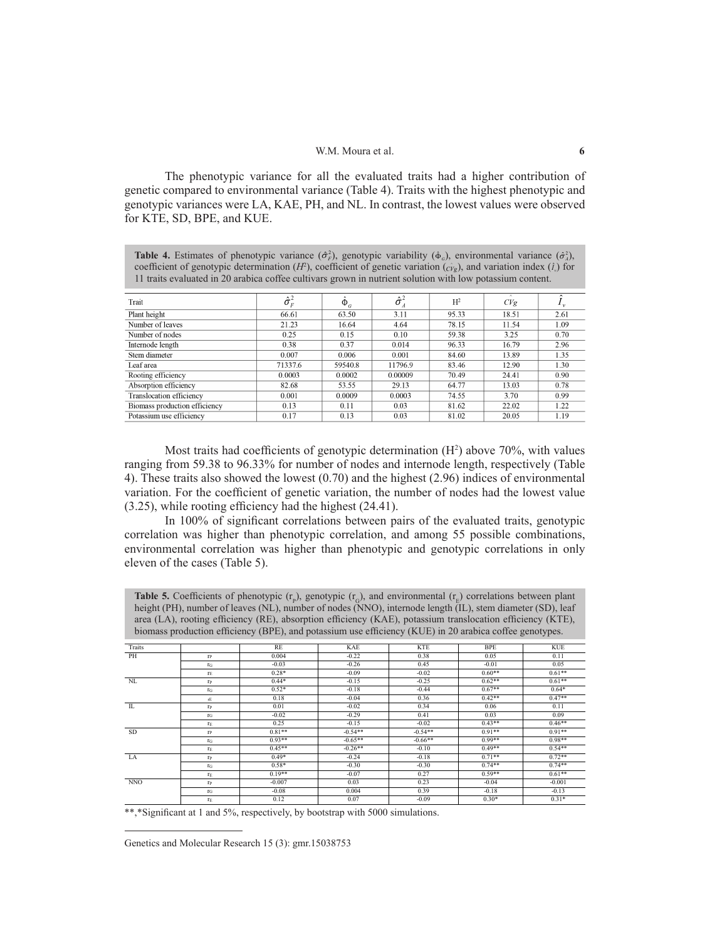#### W.M. Moura et al. **6**

The phenotypic variance for all the evaluated traits had a higher contribution of genetic compared to environmental variance (Table 4). Traits with the highest phenotypic and genotypic variances were LA, KAE, PH, and NL. In contrast, the lowest values were observed for KTE, SD, BPE, and KUE.

**Table 4.** Estimates of phenotypic variance  $(\hat{\sigma}_r^2)$ , genotypic variability ( $\hat{\Phi}_q$ ), environmental variance  $(\hat{\sigma}_s^2)$ , coefficient of genotypic determination (*H*<sup>2</sup>), coefficient of genetic variation ( $\hat{c}$ <sub>*i*</sub><sup>*n*</sup>), and variation index ( $\hat{i}$ ) for 11 traits evaluated in 20 arabica coffee cultivars grown in nutrient solution with low potassium content.

| Trait                         | $\hat{\sigma}_{\scriptscriptstyle{F}}^{\scriptscriptstyle{2}}$ | $\Phi_{G}$ | $\hat{\sigma}^2_{A}$ | $H^2$ | $\Lambda$<br>CVg |      |
|-------------------------------|----------------------------------------------------------------|------------|----------------------|-------|------------------|------|
| Plant height                  | 66.61                                                          | 63.50      | 3.11                 | 95.33 | 18.51            | 2.61 |
| Number of leaves              | 21.23                                                          | 16.64      | 4.64                 | 78.15 | 11.54            | 1.09 |
| Number of nodes               | 0.25                                                           | 0.15       | 0.10                 | 59.38 | 3.25             | 0.70 |
| Internode length              | 0.38                                                           | 0.37       | 0.014                | 96.33 | 16.79            | 2.96 |
| Stem diameter                 | 0.007                                                          | 0.006      | 0.001                | 84.60 | 13.89            | 1.35 |
| Leaf area                     | 71337.6                                                        | 59540.8    | 11796.9              | 83.46 | 12.90            | 1.30 |
| Rooting efficiency            | 0.0003                                                         | 0.0002     | 0.00009              | 70.49 | 24.41            | 0.90 |
| Absorption efficiency         | 82.68                                                          | 53.55      | 29.13                | 64.77 | 13.03            | 0.78 |
| Translocation efficiency      | 0.001                                                          | 0.0009     | 0.0003               | 74.55 | 3.70             | 0.99 |
| Biomass production efficiency | 0.13                                                           | 0.11       | 0.03                 | 81.62 | 22.02            | 1.22 |
| Potassium use efficiency      | 0.17                                                           | 0.13       | 0.03                 | 81.02 | 20.05            | 1.19 |

Most traits had coefficients of genotypic determination  $(H<sup>2</sup>)$  above 70%, with values ranging from 59.38 to 96.33% for number of nodes and internode length, respectively (Table 4). These traits also showed the lowest (0.70) and the highest (2.96) indices of environmental variation. For the coefficient of genetic variation, the number of nodes had the lowest value (3.25), while rooting efficiency had the highest (24.41).

In 100% of significant correlations between pairs of the evaluated traits, genotypic correlation was higher than phenotypic correlation, and among 55 possible combinations, environmental correlation was higher than phenotypic and genotypic correlations in only eleven of the cases (Table 5).

**Table 5.** Coefficients of phenotypic  $(r_p)$ , genotypic  $(r_q)$ , and environmental  $(r_E)$  correlations between plant height (PH), number of leaves (NL), number of nodes (NNO), internode length (IL), stem diameter (SD), leaf area (LA), rooting efficiency (RE), absorption efficiency (KAE), potassium translocation efficiency (KTE), biomass production efficiency (BPE), and potassium use efficiency (KUE) in 20 arabica coffee genotypes.

| Traits     |                  | RE       | KAE       | <b>KTE</b> | <b>BPE</b> | <b>KUE</b> |
|------------|------------------|----------|-----------|------------|------------|------------|
| PH         | $r_{P}$          | 0.004    | $-0.22$   | 0.38       | 0.05       | 0.11       |
|            | $\Gamma$ G       | $-0.03$  | $-0.26$   | 0.45       | $-0.01$    | 0.05       |
|            | $r_E$            | $0.28*$  | $-0.09$   | $-0.02$    | $0.60**$   | $0.61**$   |
| NL         | $r_{P}$          | $0.44*$  | $-0.15$   | $-0.25$    | $0.62**$   | $0.61**$   |
|            | $\Gamma$ G       | $0.52*$  | $-0.18$   | $-0.44$    | $0.67**$   | $0.64*$    |
|            | rE               | 0.18     | $-0.04$   | 0.36       | $0.42**$   | $0.47**$   |
| IL         | $r_{P}$          | 0.01     | $-0.02$   | 0.34       | 0.06       | 0.11       |
|            | $\Gamma$ G       | $-0.02$  | $-0.29$   | 0.41       | 0.03       | 0.09       |
|            | TE               | 0.25     | $-0.15$   | $-0.02$    | $0.43**$   | $0.46**$   |
| <b>SD</b>  | $r_{P}$          | $0.81**$ | $-0.54**$ | $-0.54**$  | $0.91**$   | $0.91**$   |
|            | $\Gamma$ G       | $0.93**$ | $-0.65**$ | $-0.66**$  | $0.99**$   | $0.98**$   |
|            | $r_E$            | $0.45**$ | $-0.26**$ | $-0.10$    | $0.49**$   | $0.54**$   |
| LA         | $r_{P}$          | $0.49*$  | $-0.24$   | $-0.18$    | $0.71**$   | $0.72**$   |
|            | $\Gamma$ G       | $0.58*$  | $-0.30$   | $-0.30$    | $0.74**$   | $0.74**$   |
|            | $r_E$            | $0.19**$ | $-0.07$   | 0.27       | $0.59**$   | $0.61**$   |
| <b>NNO</b> | $r_{P}$          | $-0.007$ | 0.03      | 0.23       | $-0.04$    | $-0.001$   |
|            | $\Gamma$ G       | $-0.08$  | 0.004     | 0.39       | $-0.18$    | $-0.13$    |
|            | $\Gamma_{\rm E}$ | 0.12     | 0.07      | $-0.09$    | $0.30*$    | $0.31*$    |

\*\*,\*Significant at 1 and 5%, respectively, by bootstrap with 5000 simulations.

Genetics and Molecular Research 15 (3): gmr.15038753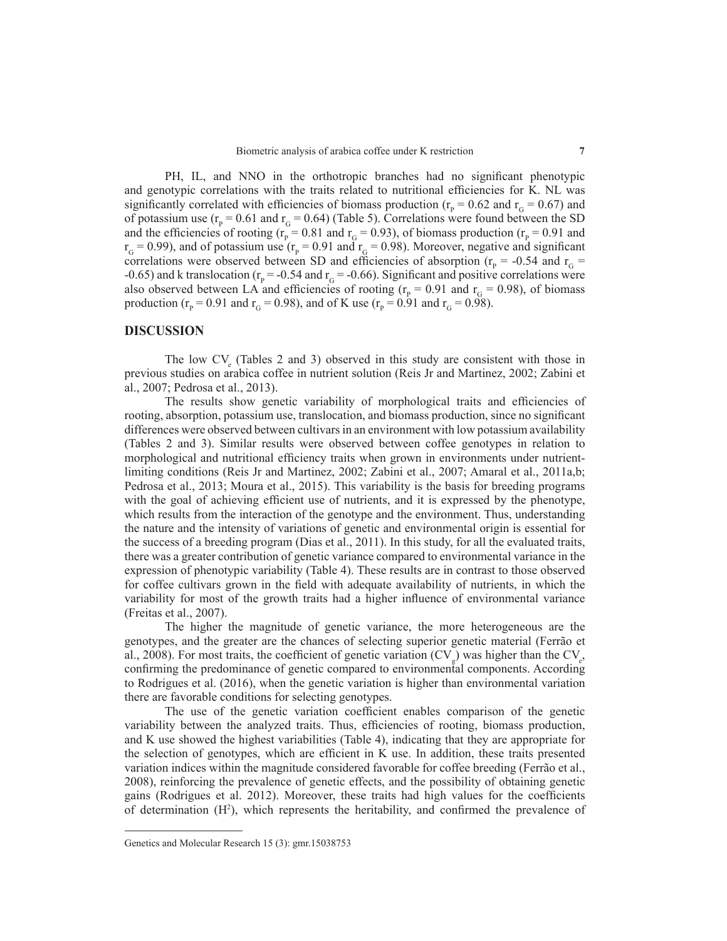PH, IL, and NNO in the orthotropic branches had no significant phenotypic and genotypic correlations with the traits related to nutritional efficiencies for K. NL was significantly correlated with efficiencies of biomass production ( $r_p$  = 0.62 and  $r_G$  = 0.67) and of potassium use  $(r_{p} = 0.61$  and  $r_{G} = 0.64)$  (Table 5). Correlations were found between the SD and the efficiencies of rooting ( $r_p = 0.81$  and  $r_q = 0.93$ ), of biomass production ( $r_p = 0.91$  and  $r_G$  = 0.99), and of potassium use ( $r_P$  = 0.91 and  $r_G$  = 0.98). Moreover, negative and significant correlations were observed between SD and efficiencies of absorption ( $r_p$  = -0.54 and  $r_q$  = -0.65) and k translocation ( $r_p$  = -0.54 and  $r_q$  = -0.66). Significant and positive correlations were also observed between LA and efficiencies of rooting ( $r<sub>p</sub>$  = 0.91 and  $r<sub>G</sub>$  = 0.98), of biomass production ( $r_{\rm p}$  = 0.91 and  $r_{\rm G}$  = 0.98), and of K use ( $r_{\rm p}$  = 0.91 and  $r_{\rm G}$  = 0.98).

## **DISCUSSION**

The low  $CV_e$  (Tables 2 and 3) observed in this study are consistent with those in previous studies on arabica coffee in nutrient solution (Reis Jr and Martinez, 2002; Zabini et al., 2007; Pedrosa et al., 2013).

The results show genetic variability of morphological traits and efficiencies of rooting, absorption, potassium use, translocation, and biomass production, since no significant differences were observed between cultivars in an environment with low potassium availability (Tables 2 and 3). Similar results were observed between coffee genotypes in relation to morphological and nutritional efficiency traits when grown in environments under nutrientlimiting conditions (Reis Jr and Martinez, 2002; Zabini et al., 2007; Amaral et al., 2011a,b; Pedrosa et al., 2013; Moura et al., 2015). This variability is the basis for breeding programs with the goal of achieving efficient use of nutrients, and it is expressed by the phenotype, which results from the interaction of the genotype and the environment. Thus, understanding the nature and the intensity of variations of genetic and environmental origin is essential for the success of a breeding program (Dias et al., 2011). In this study, for all the evaluated traits, there was a greater contribution of genetic variance compared to environmental variance in the expression of phenotypic variability (Table 4). These results are in contrast to those observed for coffee cultivars grown in the field with adequate availability of nutrients, in which the variability for most of the growth traits had a higher influence of environmental variance (Freitas et al., 2007).

The higher the magnitude of genetic variance, the more heterogeneous are the genotypes, and the greater are the chances of selecting superior genetic material (Ferrão et al., 2008). For most traits, the coefficient of genetic variation  $(CV_g)$  was higher than the  $CV_e$ , confirming the predominance of genetic compared to environmental components. According to Rodrigues et al. (2016), when the genetic variation is higher than environmental variation there are favorable conditions for selecting genotypes.

The use of the genetic variation coefficient enables comparison of the genetic variability between the analyzed traits. Thus, efficiencies of rooting, biomass production, and K use showed the highest variabilities (Table 4), indicating that they are appropriate for the selection of genotypes, which are efficient in K use. In addition, these traits presented variation indices within the magnitude considered favorable for coffee breeding (Ferrão et al., 2008), reinforcing the prevalence of genetic effects, and the possibility of obtaining genetic gains (Rodrigues et al. 2012). Moreover, these traits had high values for the coefficients of determination  $(H^2)$ , which represents the heritability, and confirmed the prevalence of

Genetics and Molecular Research 15 (3): gmr.15038753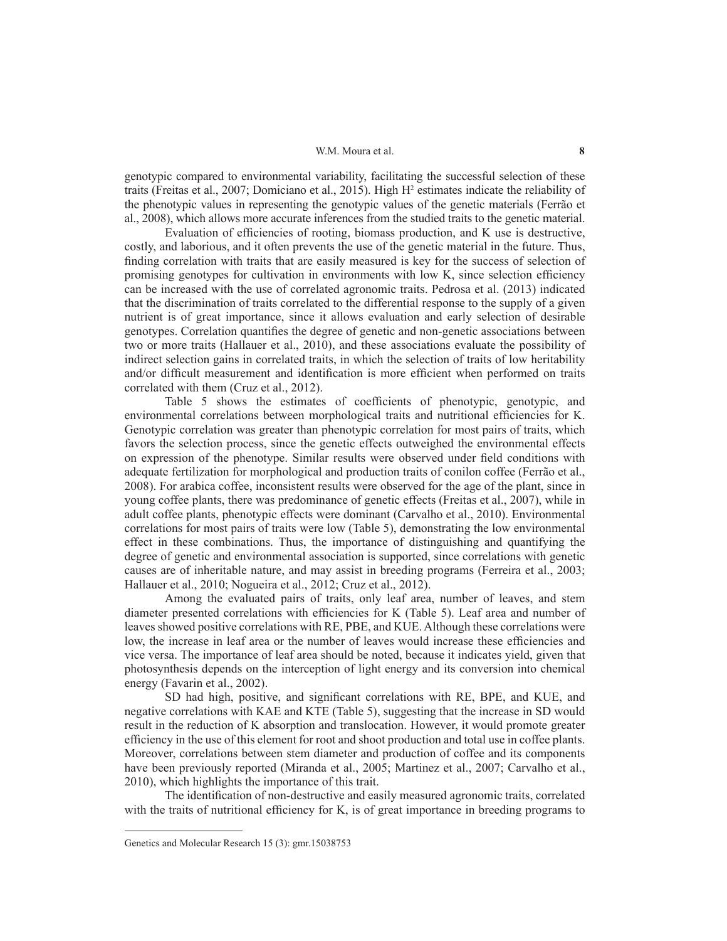#### W.M. Moura et al. **8**

genotypic compared to environmental variability, facilitating the successful selection of these traits (Freitas et al., 2007; Domiciano et al., 2015). High H<sup>2</sup> estimates indicate the reliability of the phenotypic values in representing the genotypic values of the genetic materials (Ferrão et al., 2008), which allows more accurate inferences from the studied traits to the genetic material.

Evaluation of efficiencies of rooting, biomass production, and K use is destructive, costly, and laborious, and it often prevents the use of the genetic material in the future. Thus, finding correlation with traits that are easily measured is key for the success of selection of promising genotypes for cultivation in environments with low K, since selection efficiency can be increased with the use of correlated agronomic traits. Pedrosa et al. (2013) indicated that the discrimination of traits correlated to the differential response to the supply of a given nutrient is of great importance, since it allows evaluation and early selection of desirable genotypes. Correlation quantifies the degree of genetic and non-genetic associations between two or more traits (Hallauer et al., 2010), and these associations evaluate the possibility of indirect selection gains in correlated traits, in which the selection of traits of low heritability and/or difficult measurement and identification is more efficient when performed on traits correlated with them (Cruz et al., 2012).

Table 5 shows the estimates of coefficients of phenotypic, genotypic, and environmental correlations between morphological traits and nutritional efficiencies for K. Genotypic correlation was greater than phenotypic correlation for most pairs of traits, which favors the selection process, since the genetic effects outweighed the environmental effects on expression of the phenotype. Similar results were observed under field conditions with adequate fertilization for morphological and production traits of conilon coffee (Ferrão et al., 2008). For arabica coffee, inconsistent results were observed for the age of the plant, since in young coffee plants, there was predominance of genetic effects (Freitas et al., 2007), while in adult coffee plants, phenotypic effects were dominant (Carvalho et al., 2010). Environmental correlations for most pairs of traits were low (Table 5), demonstrating the low environmental effect in these combinations. Thus, the importance of distinguishing and quantifying the degree of genetic and environmental association is supported, since correlations with genetic causes are of inheritable nature, and may assist in breeding programs (Ferreira et al., 2003; Hallauer et al., 2010; Nogueira et al., 2012; Cruz et al., 2012).

Among the evaluated pairs of traits, only leaf area, number of leaves, and stem diameter presented correlations with efficiencies for K (Table 5). Leaf area and number of leaves showed positive correlations with RE, PBE, and KUE. Although these correlations were low, the increase in leaf area or the number of leaves would increase these efficiencies and vice versa. The importance of leaf area should be noted, because it indicates yield, given that photosynthesis depends on the interception of light energy and its conversion into chemical energy (Favarin et al., 2002).

SD had high, positive, and significant correlations with RE, BPE, and KUE, and negative correlations with KAE and KTE (Table 5), suggesting that the increase in SD would result in the reduction of K absorption and translocation. However, it would promote greater efficiency in the use of this element for root and shoot production and total use in coffee plants. Moreover, correlations between stem diameter and production of coffee and its components have been previously reported (Miranda et al., 2005; Martinez et al., 2007; Carvalho et al., 2010), which highlights the importance of this trait.

The identification of non-destructive and easily measured agronomic traits, correlated with the traits of nutritional efficiency for K, is of great importance in breeding programs to

Genetics and Molecular Research 15 (3): gmr.15038753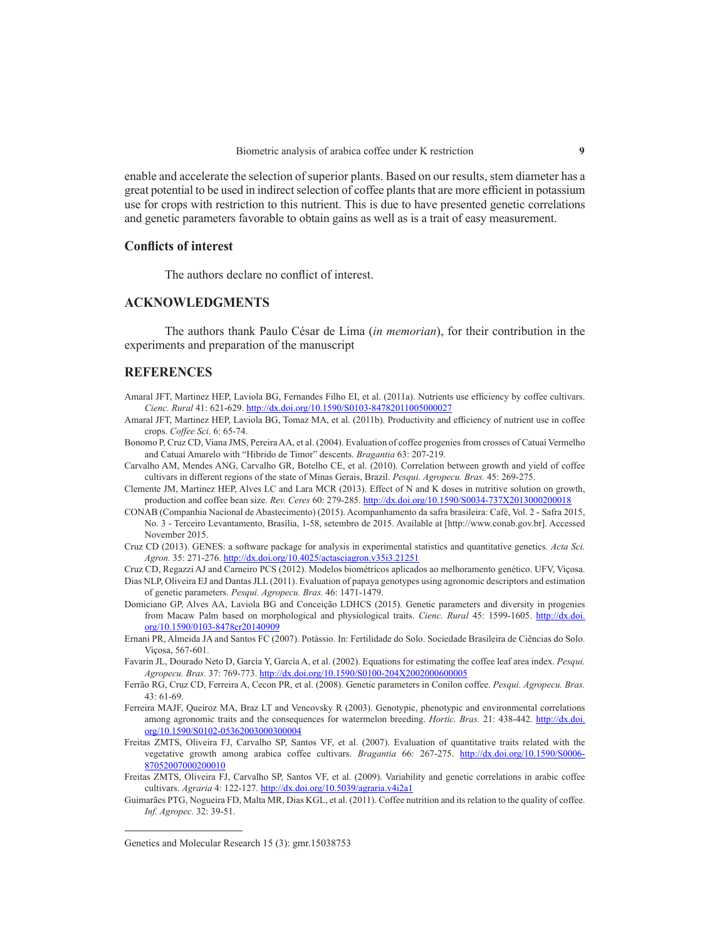enable and accelerate the selection of superior plants. Based on our results, stem diameter has a great potential to be used in indirect selection of coffee plants that are more efficient in potassium use for crops with restriction to this nutrient. This is due to have presented genetic correlations and genetic parameters favorable to obtain gains as well as is a trait of easy measurement.

## **Conflicts of interest**

The authors declare no conflict of interest.

# **ACKNOWLEDGMENTS**

The authors thank Paulo César de Lima (*in memorian*), for their contribution in the experiments and preparation of the manuscript

# **REFERENCES**

- Amaral JFT, Martinez HEP, Laviola BG, Fernandes Filho EI, et al. (2011a). Nutrients use efficiency by coffee cultivars. *Cienc. Rural* 41: 621-629. http://dx.doi.org/10.1590/S0103-84782011005000027
- Amaral JFT, Martinez HEP, Laviola BG, Tomaz MA, et al. (2011b). Productivity and efficiency of nutrient use in coffee crops. *Coffee Sci.* 6: 65-74.
- Bonomo P, Cruz CD, Viana JMS, PereiraAA, et al. (2004). Evaluation of coffee progenies from crosses of Catuaí Vermelho and Catuaí Amarelo with "Hibrido de Timor" descents. *Bragantia* 63: 207-219.
- Carvalho AM, Mendes ANG, Carvalho GR, Botelho CE, et al. (2010). Correlation between growth and yield of coffee cultivars in different regions of the state of Minas Gerais, Brazil. *Pesqui. Agropecu. Bras.* 45: 269-275.
- Clemente JM, Martinez HEP, Alves LC and Lara MCR (2013). Effect of N and K doses in nutritive solution on growth, production and coffee bean size. *Rev. Ceres* 60: 279-285. http://dx.doi.org/10.1590/S0034-737X2013000200018
- CONAB (Companhia Nacional de Abastecimento) (2015). Acompanhamento da safra brasileira: Café, Vol. 2 Safra 2015, No. 3 - Terceiro Levantamento, Brasília, 1-58, setembro de 2015. Available at [http://www.conab.gov.br]. Accessed November 2015.
- Cruz CD (2013). GENES: a software package for analysis in experimental statistics and quantitative genetics. *Acta Sci. Agron.* 35: 271-276. http://dx.doi.org/10.4025/actasciagron.v35i3.21251
- Cruz CD, Regazzi AJ and Carneiro PCS (2012). Modelos biométricos aplicados ao melhoramento genético. UFV, Viçosa.
- Dias NLP, Oliveira EJ and Dantas JLL (2011). Evaluation of papaya genotypes using agronomic descriptors and estimation of genetic parameters. *Pesqui. Agropecu. Bras.* 46: 1471-1479.
- Domiciano GP, Alves AA, Laviola BG and Conceição LDHCS (2015). Genetic parameters and diversity in progenies from Macaw Palm based on morphological and physiological traits. *Cienc. Rural* 45: 1599-1605. http://dx.doi. org/10.1590/0103-8478cr20140909
- Ernani PR, Almeida JA and Santos FC (2007). Potássio. In: Fertilidade do Solo. Sociedade Brasileira de Ciências do Solo. Viçosa, 567-601.
- Favarin JL, Dourado Neto D, García Y, García A, et al. (2002). Equations for estimating the coffee leaf area index. *Pesqui. Agropecu. Bras.* 37: 769-773. http://dx.doi.org/10.1590/S0100-204X2002000600005
- Ferrão RG, Cruz CD, Ferreira A, Cecon PR, et al. (2008). Genetic parameters in Conilon coffee. *Pesqui. Agropecu. Bras.*  $43.61 - 69$
- Ferreira MAJF, Queiroz MA, Braz LT and Vencovsky R (2003). Genotypic, phenotypic and environmental correlations among agronomic traits and the consequences for watermelon breeding. *Hortic. Bras.* 21: 438-442. http://dx.doi. org/10.1590/S0102-05362003000300004
- Freitas ZMTS, Oliveira FJ, Carvalho SP, Santos VF, et al. (2007). Evaluation of quantitative traits related with the vegetative growth among arabica coffee cultivars. *Bragantia* 66: 267-275. http://dx.doi.org/10.1590/S0006-87052007000200010
- Freitas ZMTS, Oliveira FJ, Carvalho SP, Santos VF, et al. (2009). Variability and genetic correlations in arabic coffee cultivars. *Agraria* 4: 122-127. http://dx.doi.org/10.5039/agraria.v4i2a1
- Guimarães PTG, Nogueira FD, Malta MR, Dias KGL, et al. (2011). Coffee nutrition and its relation to the quality of coffee. *Inf. Agropec.* 32: 39-51.

Genetics and Molecular Research 15 (3): gmr.15038753